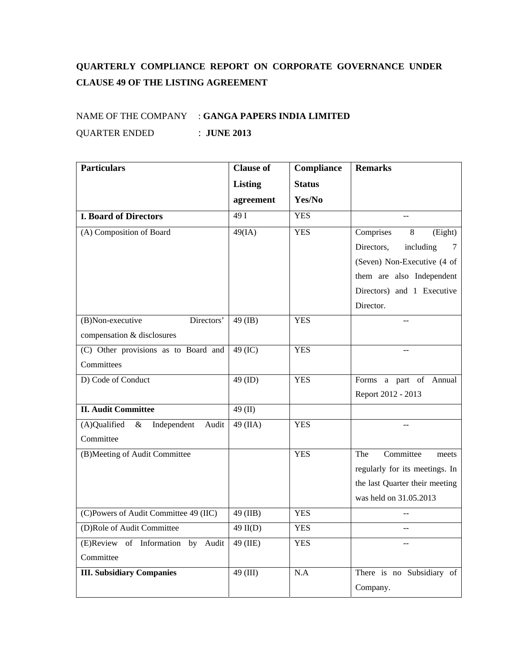## **QUARTERLY COMPLIANCE REPORT ON CORPORATE GOVERNANCE UNDER CLAUSE 49 OF THE LISTING AGREEMENT**

## NAME OF THE COMPANY : **GANGA PAPERS INDIA LIMITED** QUARTER ENDED : **JUNE 2013**

| <b>Particulars</b>                           | <b>Clause of</b> | Compliance    | <b>Remarks</b>                 |
|----------------------------------------------|------------------|---------------|--------------------------------|
|                                              | <b>Listing</b>   | <b>Status</b> |                                |
|                                              | agreement        | Yes/No        |                                |
| <b>I. Board of Directors</b>                 | $\overline{491}$ | <b>YES</b>    |                                |
| (A) Composition of Board                     | 49(IA)           | <b>YES</b>    | Comprises<br>8<br>(Eight)      |
|                                              |                  |               | Directors,<br>including<br>7   |
|                                              |                  |               | (Seven) Non-Executive (4 of    |
|                                              |                  |               | them are also Independent      |
|                                              |                  |               | Directors) and 1 Executive     |
|                                              |                  |               | Director.                      |
| Directors'<br>(B)Non-executive               | $49$ (IB)        | <b>YES</b>    |                                |
| compensation & disclosures                   |                  |               |                                |
| (C) Other provisions as to Board and         | 49 (IC)          | <b>YES</b>    |                                |
| Committees                                   |                  |               |                                |
| D) Code of Conduct                           | 49 (ID)          | <b>YES</b>    | Forms a part of Annual         |
|                                              |                  |               | Report 2012 - 2013             |
| <b>II. Audit Committee</b>                   | 49 (II)          |               |                                |
| (A)Qualified<br>$\&$<br>Independent<br>Audit | $49$ (IIA)       | <b>YES</b>    |                                |
| Committee                                    |                  |               |                                |
| (B)Meeting of Audit Committee                |                  | <b>YES</b>    | Committee<br>The<br>meets      |
|                                              |                  |               | regularly for its meetings. In |
|                                              |                  |               | the last Quarter their meeting |
|                                              |                  |               | was held on 31.05.2013         |
| (C)Powers of Audit Committee 49 (IIC)        | 49 (IIB)         | <b>YES</b>    |                                |
| (D)Role of Audit Committee                   | $49$ II(D)       | <b>YES</b>    | Ξ.                             |
| (E)Review of Information by<br>Audit         | 49 (IIE)         | <b>YES</b>    |                                |
| Committee                                    |                  |               |                                |
| <b>III. Subsidiary Companies</b>             | 49 (III)         | N.A           | There is no Subsidiary of      |
|                                              |                  |               | Company.                       |